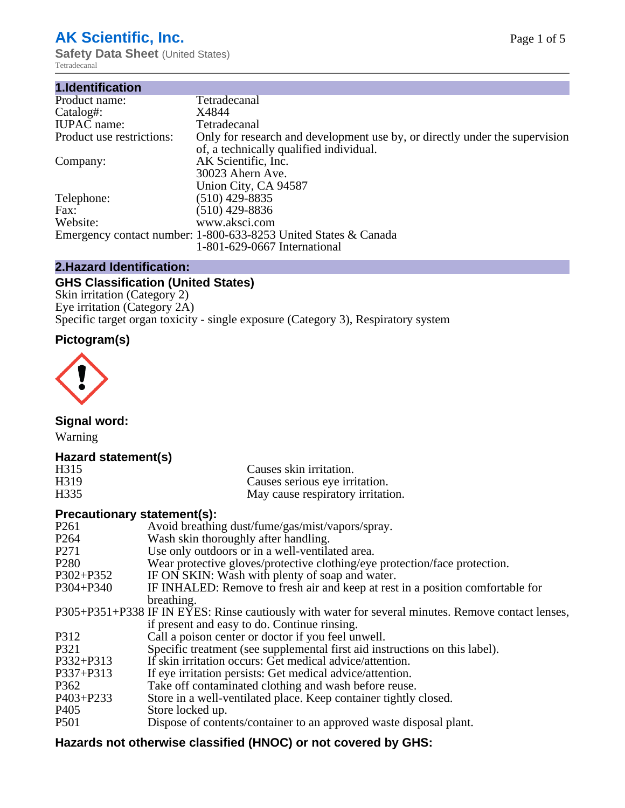# **AK Scientific, Inc.**

**Safety Data Sheet (United States)** Tetradecanal

| 1.Identification          |                                                                                                                        |
|---------------------------|------------------------------------------------------------------------------------------------------------------------|
| Product name:             | Tetradecanal                                                                                                           |
| Catalog#:                 | X4844                                                                                                                  |
| <b>IUPAC</b> name:        | Tetradecanal                                                                                                           |
| Product use restrictions: | Only for research and development use by, or directly under the supervision<br>of, a technically qualified individual. |
| Company:                  | AK Scientific, Inc.<br>30023 Ahern Ave.<br>Union City, CA 94587                                                        |
| Telephone:                | $(510)$ 429-8835                                                                                                       |
| Fax:                      | (510) 429-8836                                                                                                         |
| Website:                  | www.aksci.com                                                                                                          |
|                           | Emergency contact number: 1-800-633-8253 United States & Canada<br>1-801-629-0667 International                        |
|                           |                                                                                                                        |

# **2.Hazard Identification:**

# **GHS Classification (United States)**

Skin irritation (Category 2) Eye irritation (Category 2A) Specific target organ toxicity - single exposure (Category 3), Respiratory system

# **Pictogram(s)**



**Signal word:**

Warning

## **Hazard statement(s)**

| H <sub>315</sub>  | Causes skin irritation.           |
|-------------------|-----------------------------------|
| H <sub>3</sub> 19 | Causes serious eye irritation.    |
| H335              | May cause respiratory irritation. |

### **Precautionary statement(s):**

| P <sub>261</sub> | Avoid breathing dust/fume/gas/mist/vapors/spray.                                                   |
|------------------|----------------------------------------------------------------------------------------------------|
| P <sub>264</sub> | Wash skin thoroughly after handling.                                                               |
| P <sub>271</sub> | Use only outdoors or in a well-ventilated area.                                                    |
| P <sub>280</sub> | Wear protective gloves/protective clothing/eye protection/face protection.                         |
| P302+P352        | IF ON SKIN: Wash with plenty of soap and water.                                                    |
| $P304 + P340$    | IF INHALED: Remove to fresh air and keep at rest in a position comfortable for                     |
|                  | breathing.                                                                                         |
|                  | P305+P351+P338 IF IN EYES: Rinse cautiously with water for several minutes. Remove contact lenses, |
|                  | if present and easy to do. Continue rinsing.                                                       |
| P312             | Call a poison center or doctor if you feel unwell.                                                 |
| P321             | Specific treatment (see supplemental first aid instructions on this label).                        |
| P332+P313        | If skin irritation occurs: Get medical advice/attention.                                           |
| P337+P313        | If eye irritation persists: Get medical advice/attention.                                          |
| P362             | Take off contaminated clothing and wash before reuse.                                              |
| $P403 + P233$    | Store in a well-ventilated place. Keep container tightly closed.                                   |
| P <sub>405</sub> | Store locked up.                                                                                   |
| P <sub>501</sub> | Dispose of contents/container to an approved waste disposal plant.                                 |
|                  |                                                                                                    |

# **Hazards not otherwise classified (HNOC) or not covered by GHS:**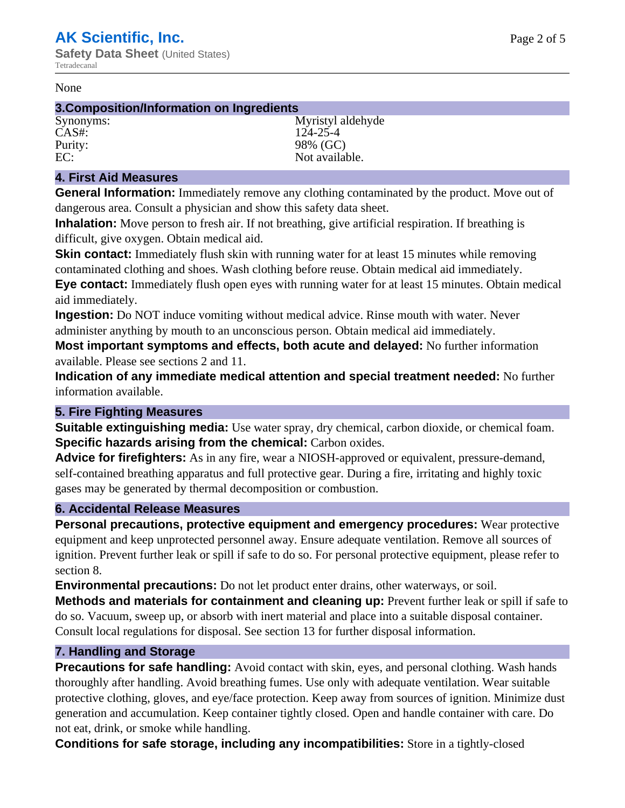#### None

#### **3.Composition/Information on Ingredients**

CAS#: 124-25-4 Purity: 98% (GC)

Synonyms: Myristyl aldehyde EC: Not available.

#### **4. First Aid Measures**

**General Information:** Immediately remove any clothing contaminated by the product. Move out of dangerous area. Consult a physician and show this safety data sheet.

**Inhalation:** Move person to fresh air. If not breathing, give artificial respiration. If breathing is difficult, give oxygen. Obtain medical aid.

**Skin contact:** Immediately flush skin with running water for at least 15 minutes while removing contaminated clothing and shoes. Wash clothing before reuse. Obtain medical aid immediately. **Eye contact:** Immediately flush open eyes with running water for at least 15 minutes. Obtain medical aid immediately.

**Ingestion:** Do NOT induce vomiting without medical advice. Rinse mouth with water. Never administer anything by mouth to an unconscious person. Obtain medical aid immediately.

**Most important symptoms and effects, both acute and delayed:** No further information available. Please see sections 2 and 11.

**Indication of any immediate medical attention and special treatment needed:** No further information available.

#### **5. Fire Fighting Measures**

**Suitable extinguishing media:** Use water spray, dry chemical, carbon dioxide, or chemical foam. **Specific hazards arising from the chemical:** Carbon oxides.

**Advice for firefighters:** As in any fire, wear a NIOSH-approved or equivalent, pressure-demand, self-contained breathing apparatus and full protective gear. During a fire, irritating and highly toxic gases may be generated by thermal decomposition or combustion.

#### **6. Accidental Release Measures**

**Personal precautions, protective equipment and emergency procedures:** Wear protective equipment and keep unprotected personnel away. Ensure adequate ventilation. Remove all sources of ignition. Prevent further leak or spill if safe to do so. For personal protective equipment, please refer to section 8.

**Environmental precautions:** Do not let product enter drains, other waterways, or soil.

**Methods and materials for containment and cleaning up:** Prevent further leak or spill if safe to do so. Vacuum, sweep up, or absorb with inert material and place into a suitable disposal container. Consult local regulations for disposal. See section 13 for further disposal information.

#### **7. Handling and Storage**

**Precautions for safe handling:** Avoid contact with skin, eyes, and personal clothing. Wash hands thoroughly after handling. Avoid breathing fumes. Use only with adequate ventilation. Wear suitable protective clothing, gloves, and eye/face protection. Keep away from sources of ignition. Minimize dust generation and accumulation. Keep container tightly closed. Open and handle container with care. Do not eat, drink, or smoke while handling.

**Conditions for safe storage, including any incompatibilities:** Store in a tightly-closed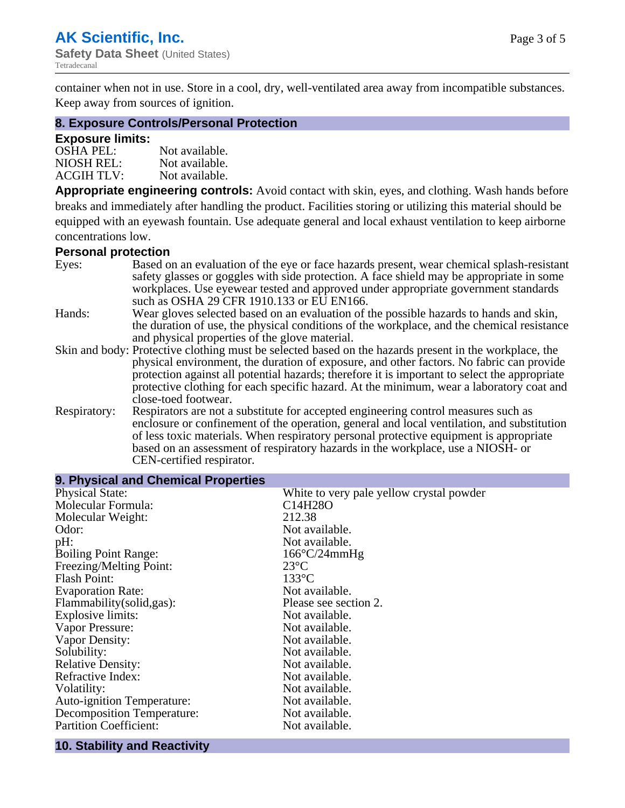container when not in use. Store in a cool, dry, well-ventilated area away from incompatible substances. Keep away from sources of ignition.

# **8. Exposure Controls/Personal Protection**

#### **Exposure limits:**

| <b>OSHA PEL:</b>  | Not available. |
|-------------------|----------------|
| NIOSH REL:        | Not available. |
| <b>ACGIH TLV:</b> | Not available. |

**Appropriate engineering controls:** Avoid contact with skin, eyes, and clothing. Wash hands before breaks and immediately after handling the product. Facilities storing or utilizing this material should be equipped with an eyewash fountain. Use adequate general and local exhaust ventilation to keep airborne concentrations low.

#### **Personal protection**

| Eyes:        | Based on an evaluation of the eye or face hazards present, wear chemical splash-resistant<br>safety glasses or goggles with side protection. A face shield may be appropriate in some<br>workplaces. Use eyewear tested and approved under appropriate government standards |
|--------------|-----------------------------------------------------------------------------------------------------------------------------------------------------------------------------------------------------------------------------------------------------------------------------|
|              | such as OSHA 29 CFR 1910.133 or EU EN166.                                                                                                                                                                                                                                   |
| Hands:       | Wear gloves selected based on an evaluation of the possible hazards to hands and skin,                                                                                                                                                                                      |
|              | the duration of use, the physical conditions of the workplace, and the chemical resistance                                                                                                                                                                                  |
|              | and physical properties of the glove material.                                                                                                                                                                                                                              |
|              | Skin and body: Protective clothing must be selected based on the hazards present in the workplace, the                                                                                                                                                                      |
|              | physical environment, the duration of exposure, and other factors. No fabric can provide                                                                                                                                                                                    |
|              | protection against all potential hazards; therefore it is important to select the appropriate                                                                                                                                                                               |
|              | protective clothing for each specific hazard. At the minimum, wear a laboratory coat and                                                                                                                                                                                    |
|              | close-toed footwear.                                                                                                                                                                                                                                                        |
| Respiratory: | Respirators are not a substitute for accepted engineering control measures such as<br>enclosure or confinement of the operation, general and local ventilation, and substitution                                                                                            |
|              | of less toxic materials. When respiratory personal protective equipment is appropriate                                                                                                                                                                                      |
|              | based on an assessment of respiratory hazards in the workplace, use a NIOSH- or                                                                                                                                                                                             |
|              | CEN-certified respirator.                                                                                                                                                                                                                                                   |

| 9. Physical and Chemical Properties |                                          |  |  |
|-------------------------------------|------------------------------------------|--|--|
| <b>Physical State:</b>              | White to very pale yellow crystal powder |  |  |
| Molecular Formula:                  | C <sub>14</sub> H <sub>28</sub> O        |  |  |
| Molecular Weight:                   | 212.38                                   |  |  |
| Odor:                               | Not available.                           |  |  |
| pH:                                 | Not available.                           |  |  |
| <b>Boiling Point Range:</b>         | $166^{\circ}C/24mmHg$                    |  |  |
| Freezing/Melting Point:             | $23^{\circ}C$                            |  |  |
| <b>Flash Point:</b>                 | $133^{\circ}$ C                          |  |  |
| <b>Evaporation Rate:</b>            | Not available.                           |  |  |
| Flammability(solid,gas):            | Please see section 2.                    |  |  |
| Explosive limits:                   | Not available.                           |  |  |
| Vapor Pressure:                     | Not available.                           |  |  |
| Vapor Density:                      | Not available.                           |  |  |
| Solubility:                         | Not available.                           |  |  |
| <b>Relative Density:</b>            | Not available.                           |  |  |
| Refractive Index:                   | Not available.                           |  |  |
| Volatility:                         | Not available.                           |  |  |
| <b>Auto-ignition Temperature:</b>   | Not available.                           |  |  |
| Decomposition Temperature:          | Not available.                           |  |  |
| <b>Partition Coefficient:</b>       | Not available.                           |  |  |
|                                     |                                          |  |  |

#### **10. Stability and Reactivity**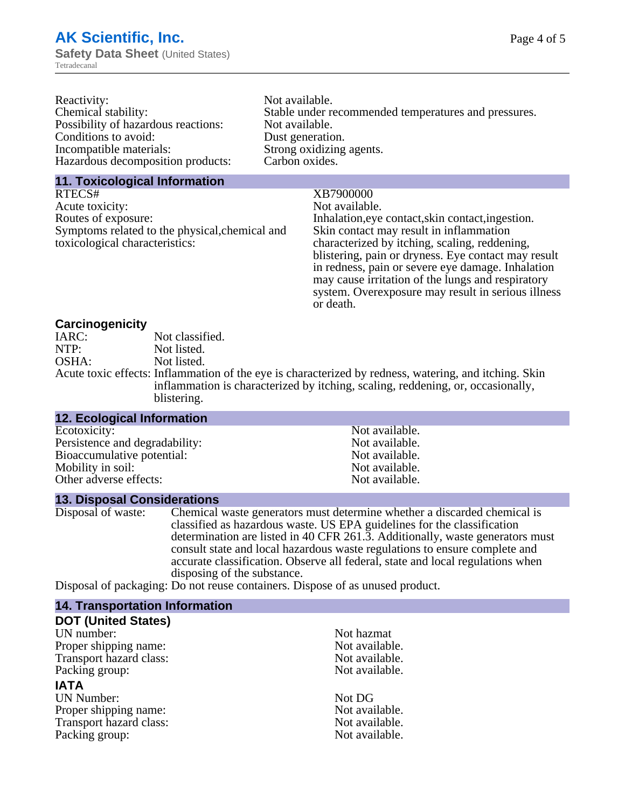| Reactivity:                         | Not available.                                       |
|-------------------------------------|------------------------------------------------------|
| Chemical stability:                 | Stable under recommended temperatures and pressures. |
| Possibility of hazardous reactions: | Not available.                                       |
| Conditions to avoid:                | Dust generation.                                     |
| Incompatible materials:             | Strong oxidizing agents.                             |
| Hazardous decomposition products:   | Carbon oxides.                                       |
|                                     |                                                      |

#### **11. Toxicological Information**

RTECS# XB7900000 Acute toxicity: Not available.<br>
Routes of exposure: This is a multiple in the link of exposure in the link of the link of exposure. Symptoms related to the physical,chemical and toxicological characteristics:

Inhalation,eye contact, skin contact, ingestion. Skin contact may result in inflammation characterized by itching, scaling, reddening, blistering, pain or dryness. Eye contact may result in redness, pain or severe eye damage. Inhalation may cause irritation of the lungs and respiratory system. Overexposure may result in serious illness or death.

#### **Carcinogenicity**

| IARC: | Not classified.                                                                                       |
|-------|-------------------------------------------------------------------------------------------------------|
| NTP:  | Not listed.                                                                                           |
| OSHA: | Not listed.                                                                                           |
|       | Acute toxic effects: Inflammation of the eye is characterized by redness, watering, and itching. Skin |
|       | inflammation is characterized by itching, scaling, reddening, or, occasionally,                       |
|       | blistering.                                                                                           |

| <b>12. Ecological Information</b> |                |  |
|-----------------------------------|----------------|--|
| Ecotoxicity:                      | Not available. |  |
| Persistence and degradability:    | Not available. |  |
| Bioaccumulative potential:        | Not available. |  |
| Mobility in soil:                 | Not available. |  |
| Other adverse effects:            | Not available. |  |

**13. Disposal Considerations** Chemical waste generators must determine whether a discarded chemical is classified as hazardous waste. US EPA guidelines for the classification determination are listed in 40 CFR 261.3. Additionally, waste generators must consult state and local hazardous waste regulations to ensure complete and accurate classification. Observe all federal, state and local regulations when disposing of the substance.

Disposal of packaging: Do not reuse containers. Dispose of as unused product.

| Not hazmat     |
|----------------|
| Not available. |
| Not available. |
| Not available. |
|                |
| Not DG         |
| Not available. |
| Not available. |
| Not available. |
|                |